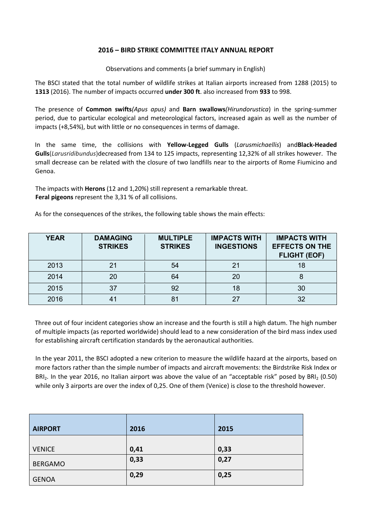## **2016 – BIRD STRIKE COMMITTEE ITALY ANNUAL REPORT**

Observations and comments (a brief summary in English)

The BSCI stated that the total number of wildlife strikes at Italian airports increased from 1288 (2015) to **1313** (2016). The number of impacts occurred **under 300 ft**. also increased from **933** to 998.

The presence of **Common swifts***(Apus apus)* and **Barn swallows***(Hirundorustica*) in the spring-summer period, due to particular ecological and meteorological factors, increased again as well as the number of impacts (+8,54%), but with little or no consequences in terms of damage.

In the same time, the collisions with **Yellow-Legged Gulls** (*Larusmichaellis*) and**Black-Headed Gulls**(*Larusridibundus*)decreased from 134 to 125 impacts, representing 12,32% of all strikes however. The small decrease can be related with the closure of two landfills near to the airports of Rome Fiumicino and Genoa.

The impacts with **Herons** (12 and 1,20%) still represent a remarkable threat. **Feral pigeons** represent the 3,31 % of all collisions.

As for the consequences of the strikes, the following table shows the main effects:

| <b>YEAR</b> | <b>DAMAGING</b><br><b>STRIKES</b> | <b>MULTIPLE</b><br><b>STRIKES</b> | <b>IMPACTS WITH</b><br><b>INGESTIONS</b> | <b>IMPACTS WITH</b><br><b>EFFECTS ON THE</b><br><b>FLIGHT (EOF)</b> |
|-------------|-----------------------------------|-----------------------------------|------------------------------------------|---------------------------------------------------------------------|
| 2013        | 21                                | 54                                | 21                                       | 18                                                                  |
| 2014        | 20                                | 64                                | 20                                       |                                                                     |
| 2015        | 37                                | 92                                | 18                                       | 30                                                                  |
| 2016        | 41                                |                                   | 27                                       | 32                                                                  |

Three out of four incident categories show an increase and the fourth is still a high datum. The high number of multiple impacts (as reported worldwide) should lead to a new consideration of the bird mass index used for establishing aircraft certification standards by the aeronautical authorities.

In the year 2011, the BSCI adopted a new criterion to measure the wildlife hazard at the airports, based on more factors rather than the simple number of impacts and aircraft movements: the Birdstrike Risk Index or BRI<sub>2</sub>. In the year 2016, no Italian airport was above the value of an "acceptable risk" posed by BRI<sub>2</sub> (0.50) while only 3 airports are over the index of 0,25. One of them (Venice) is close to the threshold however.

| <b>AIRPORT</b> | 2016 | 2015 |
|----------------|------|------|
| <b>VENICE</b>  | 0,41 | 0,33 |
| <b>BERGAMO</b> | 0,33 | 0,27 |
| <b>GENOA</b>   | 0,29 | 0,25 |